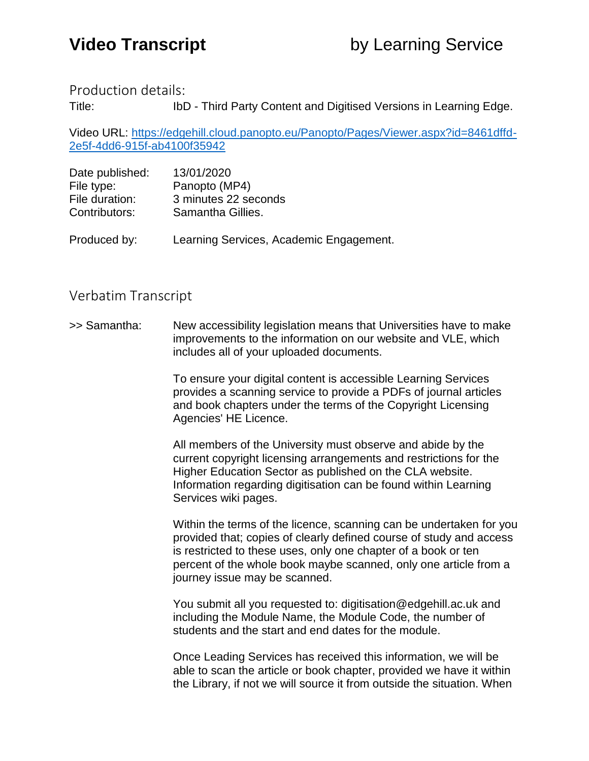Production details:

Title: IbD - Third Party Content and Digitised Versions in Learning Edge.

Video URL: [https://edgehill.cloud.panopto.eu/Panopto/Pages/Viewer.aspx?id=8461dffd-](https://edgehill.cloud.panopto.eu/Panopto/Pages/Viewer.aspx?id=8461dffd-2e5f-4dd6-915f-ab4100f35942)[2e5f-4dd6-915f-ab4100f35942](https://edgehill.cloud.panopto.eu/Panopto/Pages/Viewer.aspx?id=8461dffd-2e5f-4dd6-915f-ab4100f35942)

| Date published:<br>File type: | 13/01/2020<br>Panopto (MP4)             |
|-------------------------------|-----------------------------------------|
|                               |                                         |
| Contributors:                 | Samantha Gillies.                       |
|                               |                                         |
| Produced by:                  | Learning Services, Academic Engagement. |

## Verbatim Transcript

>> Samantha: New accessibility legislation means that Universities have to make improvements to the information on our website and VLE, which includes all of your uploaded documents.

> To ensure your digital content is accessible Learning Services provides a scanning service to provide a PDFs of journal articles and book chapters under the terms of the Copyright Licensing Agencies' HE Licence.

> All members of the University must observe and abide by the current copyright licensing arrangements and restrictions for the Higher Education Sector as published on the CLA website. Information regarding digitisation can be found within Learning Services wiki pages.

Within the terms of the licence, scanning can be undertaken for you provided that; copies of clearly defined course of study and access is restricted to these uses, only one chapter of a book or ten percent of the whole book maybe scanned, only one article from a journey issue may be scanned.

You submit all you requested to: digitisation@edgehill.ac.uk and including the Module Name, the Module Code, the number of students and the start and end dates for the module.

Once Leading Services has received this information, we will be able to scan the article or book chapter, provided we have it within the Library, if not we will source it from outside the situation. When